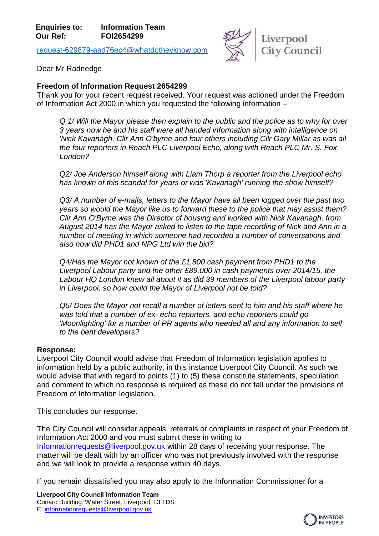[request-629879-aad76ec4@whatdotheyknow.com](mailto:xxxxxxxxxxxxxxxxxxxxxxx@xxxxxxxxxxxxxx.xxx)



Dear Mr Radnedge

## **Freedom of Information Request 2654299**

Thank you for your recent request received. Your request was actioned under the Freedom of Information Act 2000 in which you requested the following information –

*Q 1/ Will the Mayor please then explain to the public and the police as to why for over 3 years now he and his staff were all handed information along with intelligence on 'Nick Kavanagh, Cllr Ann O'byrne and four others including Cllr Gary Millar as was all the four reporters in Reach PLC Liverpool Echo, along with Reach PLC Mr. S. Fox London?* 

*Q2/ Joe Anderson himself along with Liam Thorp a reporter from the Liverpool echo has known of this scandal for years or was 'Kavanagh' running the show himself?* 

*Q3/ A number of e-mails, letters to the Mayor have all been logged over the past two years so would the Mayor like us to forward these to the police that may assist them? Cllr Ann O'Byrne was the Director of housing and worked with Nick Kavanagh, from August 2014 has the Mayor asked to listen to the tape recording of Nick and Ann in a number of meeting in which someone had recorded a number of conversations and also how did PHD1 and NPG Ltd win the bid?* 

*Q4/Has the Mayor not known of the £1,800 cash payment from PHD1 to the Liverpool Labour party and the other £89,000 in cash payments over 2014/15, the Labour HQ London knew all about it as did 39 members of the Liverpool labour party in Liverpool, so how could the Mayor of Liverpool not be told?* 

*Q5/ Does the Mayor not recall a number of letters sent to him and his staff where he was told that a number of ex- echo reporters. and echo reporters could go 'Moonlighting' for a number of PR agents who needed all and any information to sell to the bent developers?*

## **Response:**

Liverpool City Council would advise that Freedom of Information legislation applies to information held by a public authority, in this instance Liverpool City Council. As such we would advise that with regard to points (1) to (5) these constitute statements, speculation and comment to which no response is required as these do not fall under the provisions of Freedom of Information legislation.

This concludes our response.

The City Council will consider appeals, referrals or complaints in respect of your Freedom of Information Act 2000 and you must submit these in writing to [Informationrequests@liverpool.gov.uk](mailto:xxxxxxxxxxxxxxxxxxx@xxxxxxxxx.xxx.xx) within 28 days of receiving your response. The matter will be dealt with by an officer who was not previously involved with the response and we will look to provide a response within 40 days.

If you remain dissatisfied you may also apply to the Information Commissioner for a

**Liverpool City Council Information Team** Cunard Building, Water Street, Liverpool, L3 1DS E: [informationrequests@liverpool.gov.uk](mailto:xxxxxxxxxxxxxxxxxxx@xxxxxxxxx.xxx.xx)